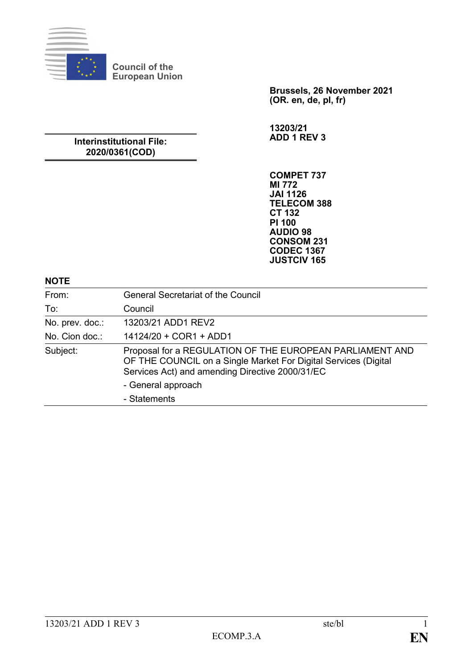

**Brussels, 26 November 2021 (OR. en, de, pl, fr)**

**13203/21 ADD 1 REV 3**

## **Interinstitutional File: 2020/0361(COD)**

**COMPET 737 MI 772 JAI 1126 TELECOM 388 CT 132 PI 100 AUDIO 98 CONSOM 231 CODEC 1367 JUSTCIV 165**

#### **NOTE**

| From:           | <b>General Secretariat of the Council</b>                                                                                                                                      |
|-----------------|--------------------------------------------------------------------------------------------------------------------------------------------------------------------------------|
| To:             | Council                                                                                                                                                                        |
| No. prev. doc.: | 13203/21 ADD1 REV2                                                                                                                                                             |
| No. Cion doc.:  | 14124/20 + COR1 + ADD1                                                                                                                                                         |
| Subject:        | Proposal for a REGULATION OF THE EUROPEAN PARLIAMENT AND<br>OF THE COUNCIL on a Single Market For Digital Services (Digital<br>Services Act) and amending Directive 2000/31/EC |
|                 | - General approach                                                                                                                                                             |
|                 | - Statements                                                                                                                                                                   |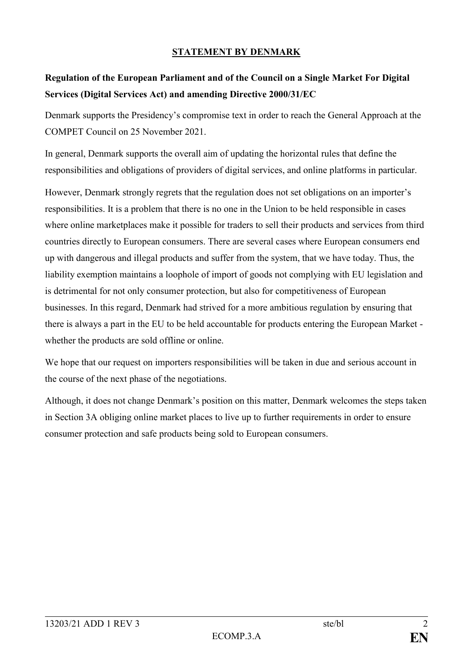## **STATEMENT BY DENMARK**

# **Regulation of the European Parliament and of the Council on a Single Market For Digital Services (Digital Services Act) and amending Directive 2000/31/EC**

Denmark supports the Presidency's compromise text in order to reach the General Approach at the COMPET Council on 25 November 2021.

In general, Denmark supports the overall aim of updating the horizontal rules that define the responsibilities and obligations of providers of digital services, and online platforms in particular.

However, Denmark strongly regrets that the regulation does not set obligations on an importer's responsibilities. It is a problem that there is no one in the Union to be held responsible in cases where online marketplaces make it possible for traders to sell their products and services from third countries directly to European consumers. There are several cases where European consumers end up with dangerous and illegal products and suffer from the system, that we have today. Thus, the liability exemption maintains a loophole of import of goods not complying with EU legislation and is detrimental for not only consumer protection, but also for competitiveness of European businesses. In this regard, Denmark had strived for a more ambitious regulation by ensuring that there is always a part in the EU to be held accountable for products entering the European Market whether the products are sold offline or online.

We hope that our request on importers responsibilities will be taken in due and serious account in the course of the next phase of the negotiations.

Although, it does not change Denmark's position on this matter, Denmark welcomes the steps taken in Section 3A obliging online market places to live up to further requirements in order to ensure consumer protection and safe products being sold to European consumers.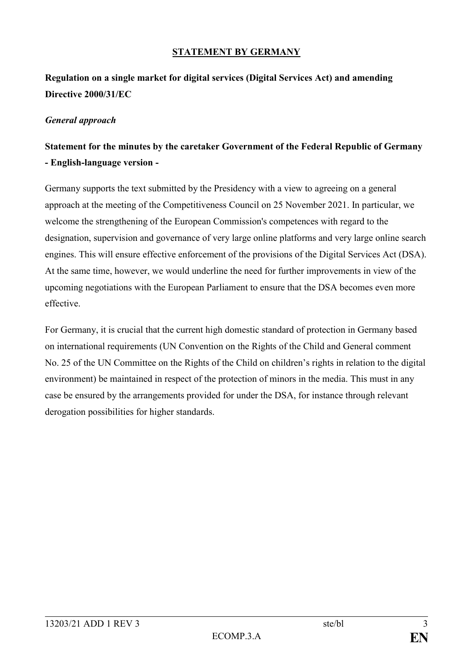## **STATEMENT BY GERMANY**

# **Regulation on a single market for digital services (Digital Services Act) and amending Directive 2000/31/EC**

#### *General approach*

## **Statement for the minutes by the caretaker Government of the Federal Republic of Germany - English-language version -**

Germany supports the text submitted by the Presidency with a view to agreeing on a general approach at the meeting of the Competitiveness Council on 25 November 2021. In particular, we welcome the strengthening of the European Commission's competences with regard to the designation, supervision and governance of very large online platforms and very large online search engines. This will ensure effective enforcement of the provisions of the Digital Services Act (DSA). At the same time, however, we would underline the need for further improvements in view of the upcoming negotiations with the European Parliament to ensure that the DSA becomes even more effective.

For Germany, it is crucial that the current high domestic standard of protection in Germany based on international requirements (UN Convention on the Rights of the Child and General comment No. 25 of the UN Committee on the Rights of the Child on children's rights in relation to the digital environment) be maintained in respect of the protection of minors in the media. This must in any case be ensured by the arrangements provided for under the DSA, for instance through relevant derogation possibilities for higher standards.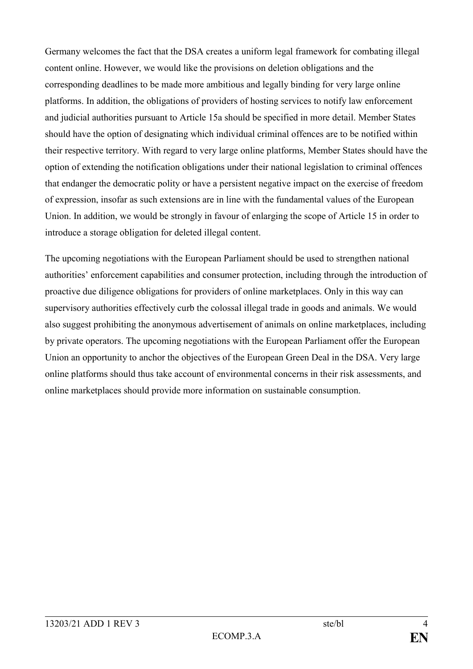Germany welcomes the fact that the DSA creates a uniform legal framework for combating illegal content online. However, we would like the provisions on deletion obligations and the corresponding deadlines to be made more ambitious and legally binding for very large online platforms. In addition, the obligations of providers of hosting services to notify law enforcement and judicial authorities pursuant to Article 15a should be specified in more detail. Member States should have the option of designating which individual criminal offences are to be notified within their respective territory. With regard to very large online platforms, Member States should have the option of extending the notification obligations under their national legislation to criminal offences that endanger the democratic polity or have a persistent negative impact on the exercise of freedom of expression, insofar as such extensions are in line with the fundamental values of the European Union. In addition, we would be strongly in favour of enlarging the scope of Article 15 in order to introduce a storage obligation for deleted illegal content.

The upcoming negotiations with the European Parliament should be used to strengthen national authorities' enforcement capabilities and consumer protection, including through the introduction of proactive due diligence obligations for providers of online marketplaces. Only in this way can supervisory authorities effectively curb the colossal illegal trade in goods and animals. We would also suggest prohibiting the anonymous advertisement of animals on online marketplaces, including by private operators. The upcoming negotiations with the European Parliament offer the European Union an opportunity to anchor the objectives of the European Green Deal in the DSA. Very large online platforms should thus take account of environmental concerns in their risk assessments, and online marketplaces should provide more information on sustainable consumption.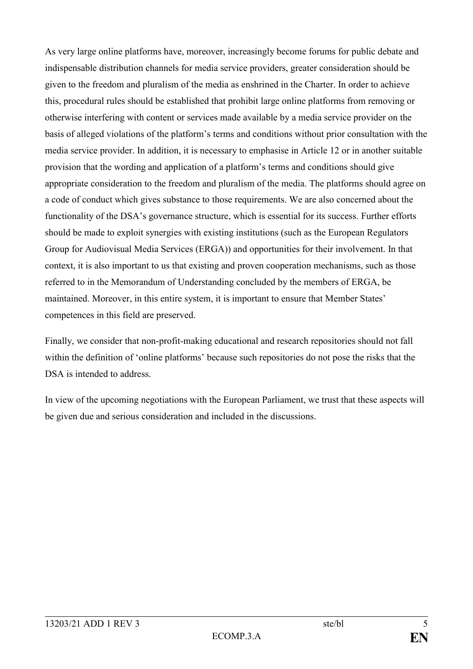As very large online platforms have, moreover, increasingly become forums for public debate and indispensable distribution channels for media service providers, greater consideration should be given to the freedom and pluralism of the media as enshrined in the Charter. In order to achieve this, procedural rules should be established that prohibit large online platforms from removing or otherwise interfering with content or services made available by a media service provider on the basis of alleged violations of the platform's terms and conditions without prior consultation with the media service provider. In addition, it is necessary to emphasise in Article 12 or in another suitable provision that the wording and application of a platform's terms and conditions should give appropriate consideration to the freedom and pluralism of the media. The platforms should agree on a code of conduct which gives substance to those requirements. We are also concerned about the functionality of the DSA's governance structure, which is essential for its success. Further efforts should be made to exploit synergies with existing institutions (such as the European Regulators Group for Audiovisual Media Services (ERGA)) and opportunities for their involvement. In that context, it is also important to us that existing and proven cooperation mechanisms, such as those referred to in the Memorandum of Understanding concluded by the members of ERGA, be maintained. Moreover, in this entire system, it is important to ensure that Member States' competences in this field are preserved.

Finally, we consider that non-profit-making educational and research repositories should not fall within the definition of 'online platforms' because such repositories do not pose the risks that the DSA is intended to address.

In view of the upcoming negotiations with the European Parliament, we trust that these aspects will be given due and serious consideration and included in the discussions.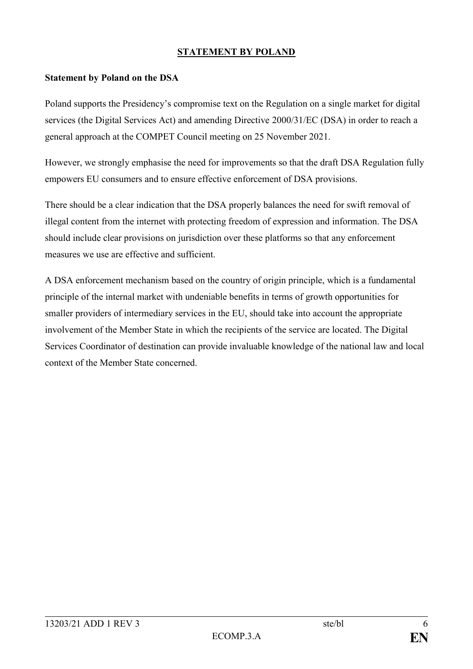## **STATEMENT BY POLAND**

#### **Statement by Poland on the DSA**

Poland supports the Presidency's compromise text on the Regulation on a single market for digital services (the Digital Services Act) and amending Directive 2000/31/EC (DSA) in order to reach a general approach at the COMPET Council meeting on 25 November 2021.

However, we strongly emphasise the need for improvements so that the draft DSA Regulation fully empowers EU consumers and to ensure effective enforcement of DSA provisions.

There should be a clear indication that the DSA properly balances the need for swift removal of illegal content from the internet with protecting freedom of expression and information. The DSA should include clear provisions on jurisdiction over these platforms so that any enforcement measures we use are effective and sufficient.

A DSA enforcement mechanism based on the country of origin principle, which is a fundamental principle of the internal market with undeniable benefits in terms of growth opportunities for smaller providers of intermediary services in the EU, should take into account the appropriate involvement of the Member State in which the recipients of the service are located. The Digital Services Coordinator of destination can provide invaluable knowledge of the national law and local context of the Member State concerned.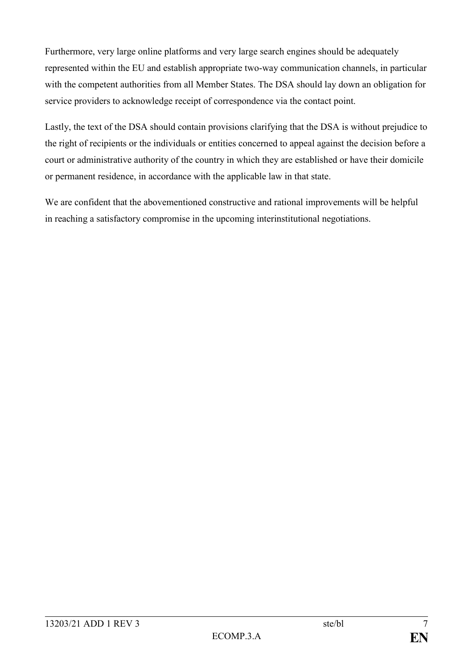Furthermore, very large online platforms and very large search engines should be adequately represented within the EU and establish appropriate two-way communication channels, in particular with the competent authorities from all Member States. The DSA should lay down an obligation for service providers to acknowledge receipt of correspondence via the contact point.

Lastly, the text of the DSA should contain provisions clarifying that the DSA is without prejudice to the right of recipients or the individuals or entities concerned to appeal against the decision before a court or administrative authority of the country in which they are established or have their domicile or permanent residence, in accordance with the applicable law in that state.

We are confident that the abovementioned constructive and rational improvements will be helpful in reaching a satisfactory compromise in the upcoming interinstitutional negotiations.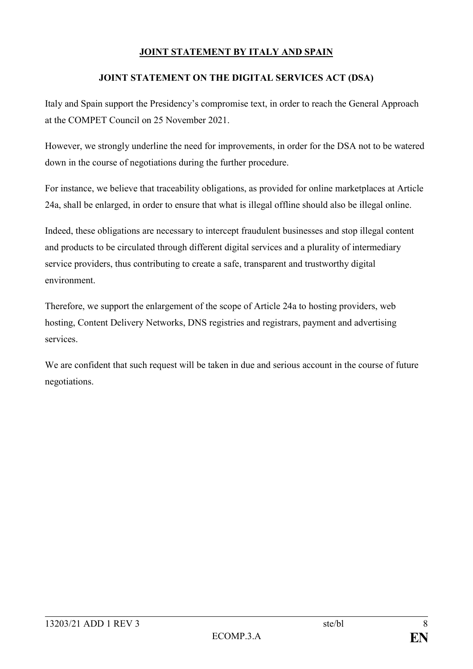## **JOINT STATEMENT BY ITALY AND SPAIN**

#### **JOINT STATEMENT ON THE DIGITAL SERVICES ACT (DSA)**

Italy and Spain support the Presidency's compromise text, in order to reach the General Approach at the COMPET Council on 25 November 2021.

However, we strongly underline the need for improvements, in order for the DSA not to be watered down in the course of negotiations during the further procedure.

For instance, we believe that traceability obligations, as provided for online marketplaces at Article 24a, shall be enlarged, in order to ensure that what is illegal offline should also be illegal online.

Indeed, these obligations are necessary to intercept fraudulent businesses and stop illegal content and products to be circulated through different digital services and a plurality of intermediary service providers, thus contributing to create a safe, transparent and trustworthy digital environment.

Therefore, we support the enlargement of the scope of Article 24a to hosting providers, web hosting, Content Delivery Networks, DNS registries and registrars, payment and advertising services.

We are confident that such request will be taken in due and serious account in the course of future negotiations.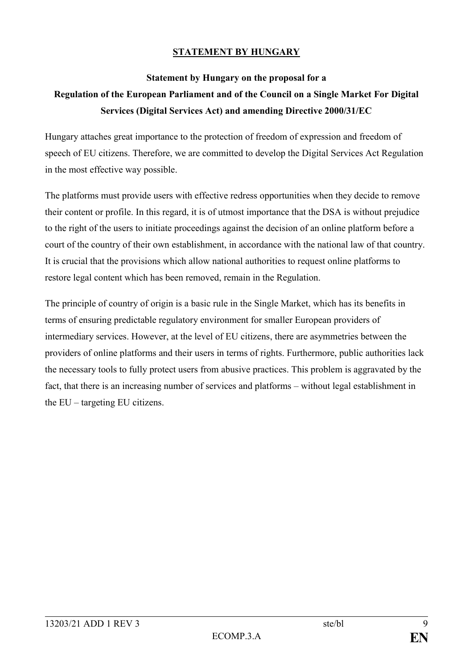## **STATEMENT BY HUNGARY**

#### **Statement by Hungary on the proposal for a**

# **Regulation of the European Parliament and of the Council on a Single Market For Digital Services (Digital Services Act) and amending Directive 2000/31/EC**

Hungary attaches great importance to the protection of freedom of expression and freedom of speech of EU citizens. Therefore, we are committed to develop the Digital Services Act Regulation in the most effective way possible.

The platforms must provide users with effective redress opportunities when they decide to remove their content or profile. In this regard, it is of utmost importance that the DSA is without prejudice to the right of the users to initiate proceedings against the decision of an online platform before a court of the country of their own establishment, in accordance with the national law of that country. It is crucial that the provisions which allow national authorities to request online platforms to restore legal content which has been removed, remain in the Regulation.

The principle of country of origin is a basic rule in the Single Market, which has its benefits in terms of ensuring predictable regulatory environment for smaller European providers of intermediary services. However, at the level of EU citizens, there are asymmetries between the providers of online platforms and their users in terms of rights. Furthermore, public authorities lack the necessary tools to fully protect users from abusive practices. This problem is aggravated by the fact, that there is an increasing number of services and platforms – without legal establishment in the EU – targeting EU citizens.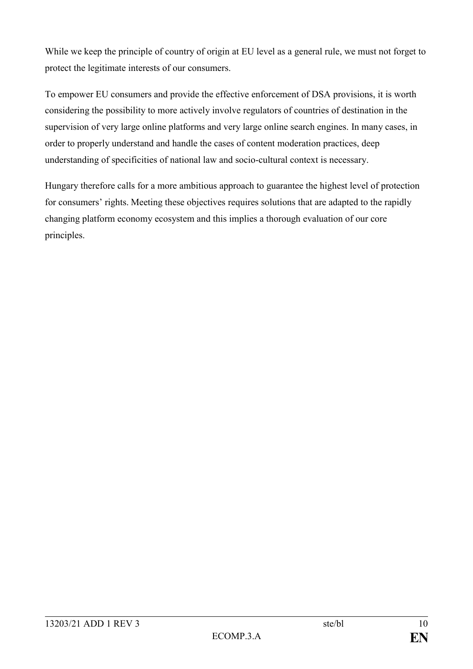While we keep the principle of country of origin at EU level as a general rule, we must not forget to protect the legitimate interests of our consumers.

To empower EU consumers and provide the effective enforcement of DSA provisions, it is worth considering the possibility to more actively involve regulators of countries of destination in the supervision of very large online platforms and very large online search engines. In many cases, in order to properly understand and handle the cases of content moderation practices, deep understanding of specificities of national law and socio-cultural context is necessary.

Hungary therefore calls for a more ambitious approach to guarantee the highest level of protection for consumers' rights. Meeting these objectives requires solutions that are adapted to the rapidly changing platform economy ecosystem and this implies a thorough evaluation of our core principles.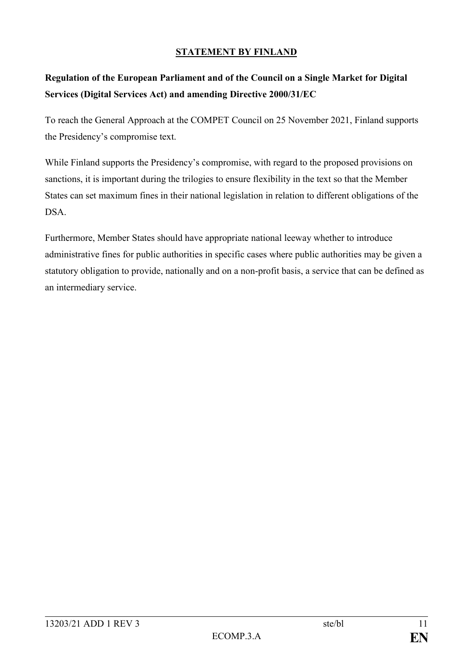## **STATEMENT BY FINLAND**

# **Regulation of the European Parliament and of the Council on a Single Market for Digital Services (Digital Services Act) and amending Directive 2000/31/EC**

To reach the General Approach at the COMPET Council on 25 November 2021, Finland supports the Presidency's compromise text.

While Finland supports the Presidency's compromise, with regard to the proposed provisions on sanctions, it is important during the trilogies to ensure flexibility in the text so that the Member States can set maximum fines in their national legislation in relation to different obligations of the DSA.

Furthermore, Member States should have appropriate national leeway whether to introduce administrative fines for public authorities in specific cases where public authorities may be given a statutory obligation to provide, nationally and on a non-profit basis, a service that can be defined as an intermediary service.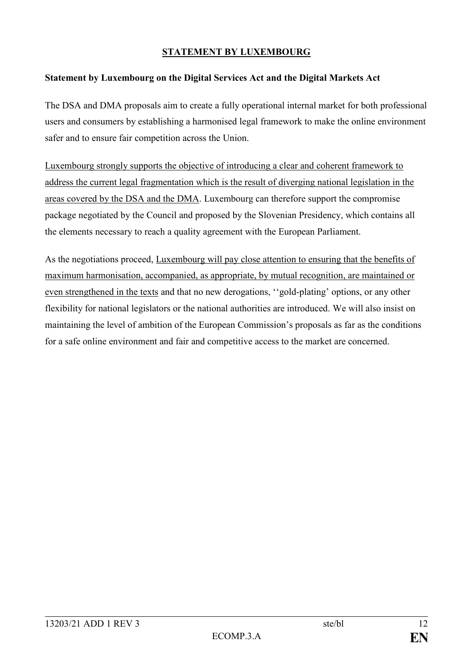## **STATEMENT BY LUXEMBOURG**

#### **Statement by Luxembourg on the Digital Services Act and the Digital Markets Act**

The DSA and DMA proposals aim to create a fully operational internal market for both professional users and consumers by establishing a harmonised legal framework to make the online environment safer and to ensure fair competition across the Union.

Luxembourg strongly supports the objective of introducing a clear and coherent framework to address the current legal fragmentation which is the result of diverging national legislation in the areas covered by the DSA and the DMA. Luxembourg can therefore support the compromise package negotiated by the Council and proposed by the Slovenian Presidency, which contains all the elements necessary to reach a quality agreement with the European Parliament.

As the negotiations proceed, Luxembourg will pay close attention to ensuring that the benefits of maximum harmonisation, accompanied, as appropriate, by mutual recognition, are maintained or even strengthened in the texts and that no new derogations, ''gold-plating' options, or any other flexibility for national legislators or the national authorities are introduced. We will also insist on maintaining the level of ambition of the European Commission's proposals as far as the conditions for a safe online environment and fair and competitive access to the market are concerned.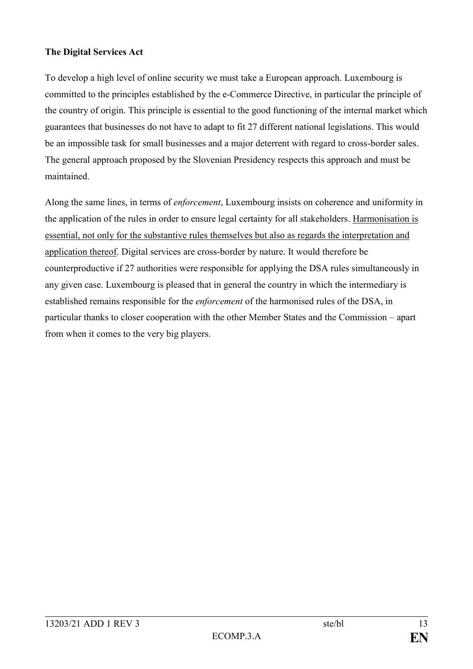## **The Digital Services Act**

To develop a high level of online security we must take a European approach. Luxembourg is committed to the principles established by the e-Commerce Directive, in particular the principle of the country of origin. This principle is essential to the good functioning of the internal market which guarantees that businesses do not have to adapt to fit 27 different national legislations. This would be an impossible task for small businesses and a major deterrent with regard to cross-border sales. The general approach proposed by the Slovenian Presidency respects this approach and must be maintained.

Along the same lines, in terms of *enforcement*, Luxembourg insists on coherence and uniformity in the application of the rules in order to ensure legal certainty for all stakeholders. Harmonisation is essential, not only for the substantive rules themselves but also as regards the interpretation and application thereof. Digital services are cross-border by nature. It would therefore be counterproductive if 27 authorities were responsible for applying the DSA rules simultaneously in any given case. Luxembourg is pleased that in general the country in which the intermediary is established remains responsible for the *enforcement* of the harmonised rules of the DSA, in particular thanks to closer cooperation with the other Member States and the Commission – apart from when it comes to the very big players.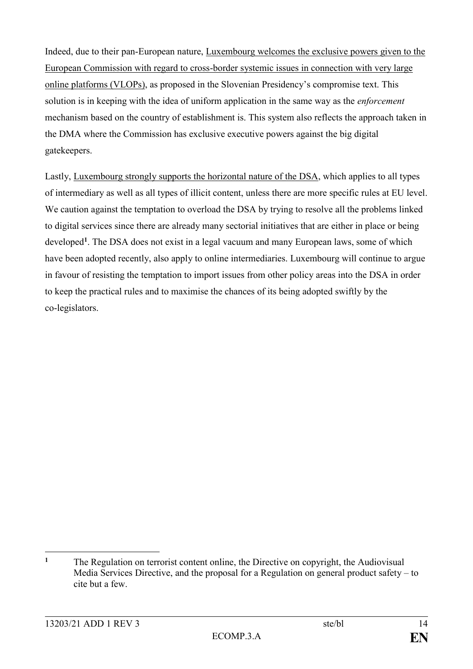Indeed, due to their pan-European nature, Luxembourg welcomes the exclusive powers given to the European Commission with regard to cross-border systemic issues in connection with very large online platforms (VLOPs), as proposed in the Slovenian Presidency's compromise text. This solution is in keeping with the idea of uniform application in the same way as the *enforcement* mechanism based on the country of establishment is. This system also reflects the approach taken in the DMA where the Commission has exclusive executive powers against the big digital gatekeepers.

Lastly, Luxembourg strongly supports the horizontal nature of the DSA, which applies to all types of intermediary as well as all types of illicit content, unless there are more specific rules at EU level. We caution against the temptation to overload the DSA by trying to resolve all the problems linked to digital services since there are already many sectorial initiatives that are either in place or being developed<sup>1</sup>. The DSA does not exist in a legal vacuum and many European laws, some of which have been adopted recently, also apply to online intermediaries. Luxembourg will continue to argue in favour of resisting the temptation to import issues from other policy areas into the DSA in order to keep the practical rules and to maximise the chances of its being adopted swiftly by the co-legislators.

<sup>&</sup>lt;u>.</u> **<sup>1</sup>** The Regulation on terrorist content online, the Directive on copyright, the Audiovisual Media Services Directive, and the proposal for a Regulation on general product safety – to cite but a few.